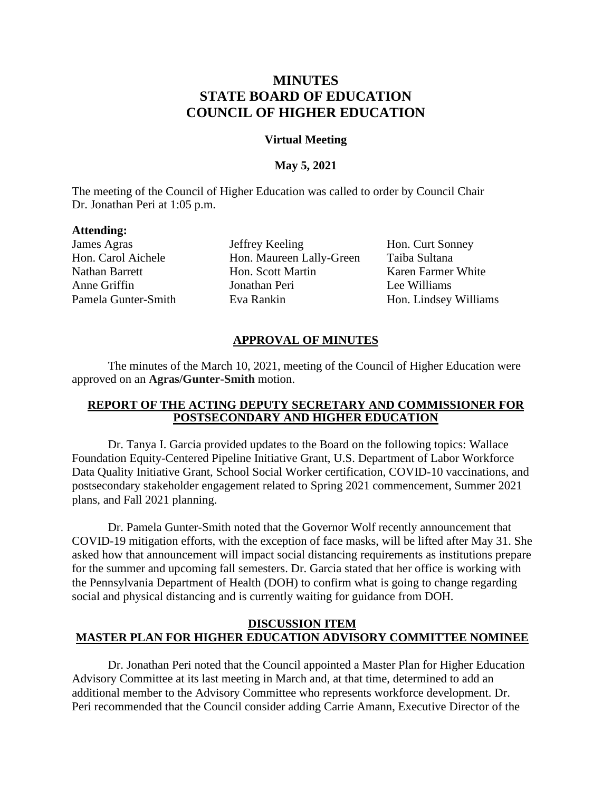# **MINUTES STATE BOARD OF EDUCATION COUNCIL OF HIGHER EDUCATION**

### **Virtual Meeting**

### **May 5, 2021**

The meeting of the Council of Higher Education was called to order by Council Chair Dr. Jonathan Peri at 1:05 p.m.

### **Attending:**

James Agras **Jeffrey Keeling** Hon. Curt Sonney Hon. Carol Aichele Hon. Maureen Lally-Green Taiba Sultana Nathan Barrett Hon. Scott Martin Karen Farmer White Anne Griffin Jonathan Peri Lee Williams Pamela Gunter-Smith Eva Rankin Hon. Lindsey Williams

## **APPROVAL OF MINUTES**

The minutes of the March 10, 2021, meeting of the Council of Higher Education were approved on an **Agras/Gunter-Smith** motion.

### **REPORT OF THE ACTING DEPUTY SECRETARY AND COMMISSIONER FOR POSTSECONDARY AND HIGHER EDUCATION**

Dr. Tanya I. Garcia provided updates to the Board on the following topics: Wallace Foundation Equity-Centered Pipeline Initiative Grant, U.S. Department of Labor Workforce Data Quality Initiative Grant, School Social Worker certification, COVID-10 vaccinations, and postsecondary stakeholder engagement related to Spring 2021 commencement, Summer 2021 plans, and Fall 2021 planning.

Dr. Pamela Gunter-Smith noted that the Governor Wolf recently announcement that COVID-19 mitigation efforts, with the exception of face masks, will be lifted after May 31. She asked how that announcement will impact social distancing requirements as institutions prepare for the summer and upcoming fall semesters. Dr. Garcia stated that her office is working with the Pennsylvania Department of Health (DOH) to confirm what is going to change regarding social and physical distancing and is currently waiting for guidance from DOH.

### **DISCUSSION ITEM MASTER PLAN FOR HIGHER EDUCATION ADVISORY COMMITTEE NOMINEE**

Dr. Jonathan Peri noted that the Council appointed a Master Plan for Higher Education Advisory Committee at its last meeting in March and, at that time, determined to add an additional member to the Advisory Committee who represents workforce development. Dr. Peri recommended that the Council consider adding Carrie Amann, Executive Director of the